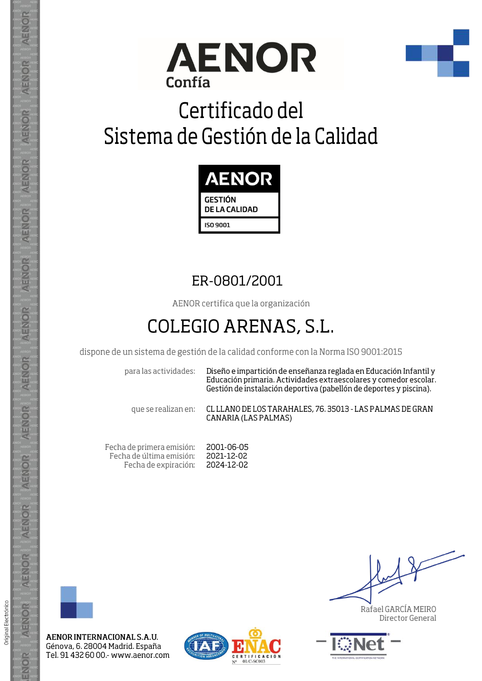



# Certificado del Sistema de Gestión de la Calidad



## ER-0801/2001

AENOR certifica que la organización

## COLEGIO ARENAS, S.L.

dispone de un sistema de gestión de la calidad conforme con la Norma ISO 9001:2015

para las actividades:

Diseño e impartición de enseñanza reglada en Educación Infantil y Educación primaria. Actividades extraescolares y comedor escolar. Gestión de instalación deportiva (pabellón de deportes y piscina).

que se realizan en:

CL LLANO DE LOS TARAHALES, 76, 35013 - LAS PALMAS DE GRAN **CANARIA (LAS PALMAS)** 

Fecha de primera emisión: 2001-06-05 Fecha de última emisión: 2021-12-02 Fecha de expiración: 2024-12-02



AENOR INTERNACIONAL S.A.U. Génova, 6. 28004 Madrid. España Tel. 91 432 60 00 - www.aenor.com



Rafael GARCÍA MEIRO Director General



**AENOR** 

ENOR

ENOR

**AENOR** 

AENOR

AENOR

**AENOR** 

AENOR

AENOR

AENOR

AENOR

AENOR

AENOR

ENOR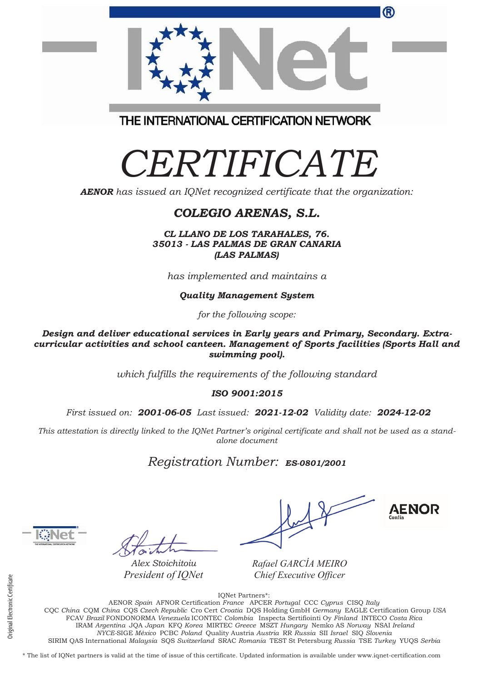|                                         | ® |
|-----------------------------------------|---|
| THE INTERNATIONAL CERTIFICATION NETWORK |   |

# *CERTIFICATE*

*AENOR has issued an IQNet recognized certificate that the organization:*

#### *COLEGIO ARENAS, S.L.*

*CL LLANO DE LOS TARAHALES, 76. 35013 - LAS PALMAS DE GRAN CANARIA (LAS PALMAS)*

*has implemented and maintains a*

*Quality Management System*

*for the following scope:* 

*Design and deliver educational services in Early years and Primary, Secondary. Extracurricular activities and school canteen. Management of Sports facilities (Sports Hall and swimming pool).*

*which fulfills the requirements of the following standard*

*ISO 9001:2015*

*First issued on: 2001-06-05 Last issued: 2021-12-02 Validity date: 2024-12-02*

*This attestation is directly linked to the IQNet Partner's original certificate and shall not be used as a standalone document*

*Registration Number: ES-0801/2001*

*Alex Stoichitoiu President of IQNet*

**AENOR** 

*Rafael GARCÍA MEIRO Chief Executive Officer*

IQNet Partners\*:

AENOR *Spain* AFNOR Certification *France* APCER *Portugal* CCC *Cyprus* CISQ *Italy* CQC *China* CQM *China* CQS *Czech Republic* Cro Cert *Croatia* DQS Holding GmbH *Germany* EAGLE Certification Group *USA* FCAV *Brazil* FONDONORMA *Venezuela* ICONTEC *Colombia* Inspecta Sertifiointi Oy *Finland* INTECO *Costa Rica* IRAM *Argentina* JQA *Japan* KFQ *Korea* MIRTEC *Greece* MSZT *Hungary* Nemko AS *Norway* NSAI *Ireland NYCE-*SIGE *México* PCBC *Poland* Quality Austria *Austria* RR *Russia* SII *Israel* SIQ *Slovenia*  SIRIM QAS International *Malaysia* SQS *Switzerland* SRAC *Romania* TEST St Petersburg *Russia* TSE *Turkey* YUQS *Serbia*

\* The list of IQNet partners is valid at the time of issue of this certificate. Updated information is available under www.iqnet-certification.com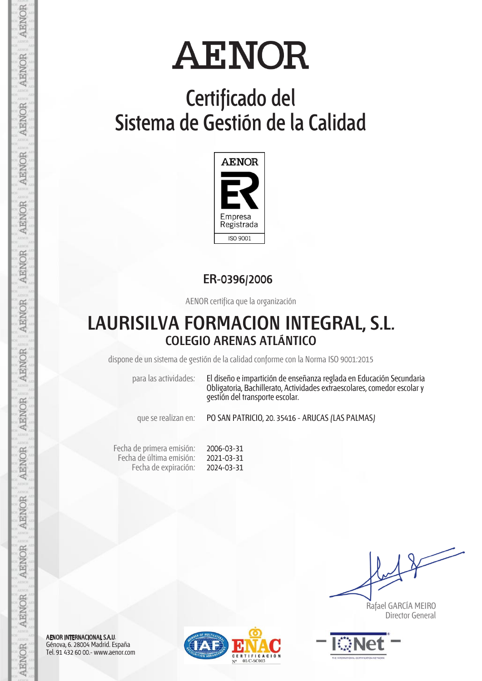## **Certificado del Sistema de Gestión de la Calidad**



**ER-0396/2006**

AENOR certifica que la organización

### **LAURISILVA FORMACION INTEGRAL, S.L. COLEGIO ARENAS ATLÁNTICO**

dispone de un sistema de gestión de la calidad conforme con la Norma ISO 9001:2015

para las actividades: El diseño e impartición de enseñanza reglada en Educación Secundaria Obligatoria, Bachillerato, Actividades extraescolares, comedor escolar y gestión del transporte escolar.

que se realizan en: PO SAN PATRICIO, 20. 35416 - ARUCAS (LAS PALMAS)

Fecha de primera emisión: Fecha de última emisión: Fecha de expiración: 2006-03-31 2021-03-31 2024-03-31

 Rafael GARCÍA MEIRO Director General



AENOR INTERNACIONAL S.A.U. Génova, 6. 28004 Madrid. España Tel. 91 432 60 00.- www.aenor.com